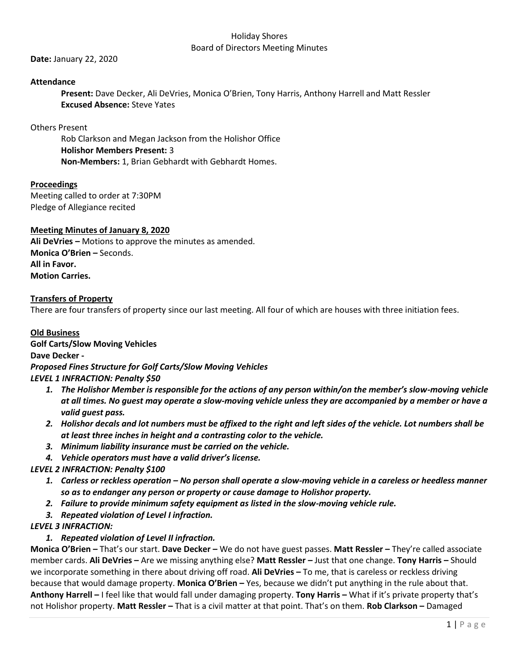**Date:** January 22, 2020

## **Attendance**

**Present:** Dave Decker, Ali DeVries, Monica O'Brien, Tony Harris, Anthony Harrell and Matt Ressler **Excused Absence:** Steve Yates

## Others Present

Rob Clarkson and Megan Jackson from the Holishor Office **Holishor Members Present:** 3 **Non-Members:** 1, Brian Gebhardt with Gebhardt Homes.

# **Proceedings**

Meeting called to order at 7:30PM Pledge of Allegiance recited

# **Meeting Minutes of January 8, 2020**

**Ali DeVries –** Motions to approve the minutes as amended. **Monica O'Brien –** Seconds. **All in Favor. Motion Carries.**

## **Transfers of Property**

There are four transfers of property since our last meeting. All four of which are houses with three initiation fees.

## **Old Business**

**Golf Carts/Slow Moving Vehicles**

**Dave Decker -**

*Proposed Fines Structure for Golf Carts/Slow Moving Vehicles*

- *LEVEL 1 INFRACTION: Penalty \$50*
	- *1. The Holishor Member is responsible for the actions of any person within/on the member's slow-moving vehicle at all times. No guest may operate a slow-moving vehicle unless they are accompanied by a member or have a valid guest pass.*
	- *2. Holishor decals and lot numbers must be affixed to the right and left sides of the vehicle. Lot numbers shall be at least three inches in height and a contrasting color to the vehicle.*
	- *3. Minimum liability insurance must be carried on the vehicle.*
	- *4. Vehicle operators must have a valid driver's license.*

# *LEVEL 2 INFRACTION: Penalty \$100*

- *1. Carless or reckless operation – No person shall operate a slow-moving vehicle in a careless or heedless manner so as to endanger any person or property or cause damage to Holishor property.*
- *2. Failure to provide minimum safety equipment as listed in the slow-moving vehicle rule.*
- *3. Repeated violation of Level I infraction.*

# *LEVEL 3 INFRACTION:*

# *1. Repeated violation of Level II infraction.*

**Monica O'Brien –** That's our start. **Dave Decker –** We do not have guest passes. **Matt Ressler –** They're called associate member cards. **Ali DeVries –** Are we missing anything else? **Matt Ressler –** Just that one change. **Tony Harris –** Should we incorporate something in there about driving off road. **Ali DeVries –** To me, that is careless or reckless driving because that would damage property. **Monica O'Brien –** Yes, because we didn't put anything in the rule about that. **Anthony Harrell –** I feel like that would fall under damaging property. **Tony Harris –** What if it's private property that's not Holishor property. **Matt Ressler –** That is a civil matter at that point. That's on them. **Rob Clarkson –** Damaged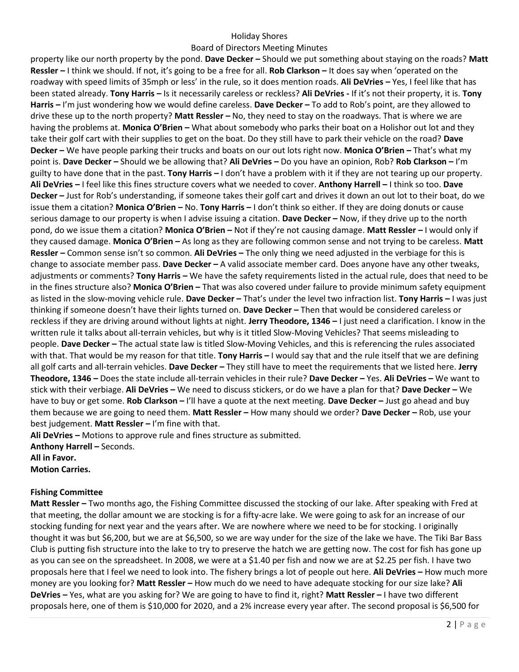#### Board of Directors Meeting Minutes

property like our north property by the pond. **Dave Decker –** Should we put something about staying on the roads? **Matt Ressler –** I think we should. If not, it's going to be a free for all. **Rob Clarkson –** It does say when 'operated on the roadway with speed limits of 35mph or less' in the rule, so it does mention roads. **Ali DeVries –** Yes, I feel like that has been stated already. **Tony Harris –** Is it necessarily careless or reckless? **Ali DeVries -** If it's not their property, it is. **Tony Harris –** I'm just wondering how we would define careless. **Dave Decker –** To add to Rob's point, are they allowed to drive these up to the north property? **Matt Ressler –** No, they need to stay on the roadways. That is where we are having the problems at. **Monica O'Brien –** What about somebody who parks their boat on a Holishor out lot and they take their golf cart with their supplies to get on the boat. Do they still have to park their vehicle on the road? **Dave Decker –** We have people parking their trucks and boats on our out lots right now. **Monica O'Brien –** That's what my point is. **Dave Decker –** Should we be allowing that? **Ali DeVries –** Do you have an opinion, Rob? **Rob Clarkson –** I'm guilty to have done that in the past. **Tony Harris –** I don't have a problem with it if they are not tearing up our property. **Ali DeVries –** I feel like this fines structure covers what we needed to cover. **Anthony Harrell –** I think so too. **Dave Decker –** Just for Rob's understanding, if someone takes their golf cart and drives it down an out lot to their boat, do we issue them a citation? **Monica O'Brien –** No. **Tony Harris –** I don't think so either. If they are doing donuts or cause serious damage to our property is when I advise issuing a citation. **Dave Decker –** Now, if they drive up to the north pond, do we issue them a citation? **Monica O'Brien –** Not if they're not causing damage. **Matt Ressler –** I would only if they caused damage. **Monica O'Brien –** As long as they are following common sense and not trying to be careless. **Matt Ressler –** Common sense isn't so common. **Ali DeVries –** The only thing we need adjusted in the verbiage for this is change to associate member pass. **Dave Decker –** A valid associate member card. Does anyone have any other tweaks, adjustments or comments? **Tony Harris –** We have the safety requirements listed in the actual rule, does that need to be in the fines structure also? **Monica O'Brien –** That was also covered under failure to provide minimum safety equipment as listed in the slow-moving vehicle rule. **Dave Decker –** That's under the level two infraction list. **Tony Harris –** I was just thinking if someone doesn't have their lights turned on. **Dave Decker –** Then that would be considered careless or reckless if they are driving around without lights at night. **Jerry Theodore, 1346 –** I just need a clarification. I know in the written rule it talks about all-terrain vehicles, but why is it titled Slow-Moving Vehicles? That seems misleading to people. **Dave Decker –** The actual state law is titled Slow-Moving Vehicles, and this is referencing the rules associated with that. That would be my reason for that title. **Tony Harris –** I would say that and the rule itself that we are defining all golf carts and all-terrain vehicles. **Dave Decker –** They still have to meet the requirements that we listed here. **Jerry Theodore, 1346 –** Does the state include all-terrain vehicles in their rule? **Dave Decker –** Yes. **Ali DeVries –** We want to stick with their verbiage. **Ali DeVries –** We need to discuss stickers, or do we have a plan for that? **Dave Decker –** We have to buy or get some. **Rob Clarkson –** I'll have a quote at the next meeting. **Dave Decker –** Just go ahead and buy them because we are going to need them. **Matt Ressler –** How many should we order? **Dave Decker –** Rob, use your best judgement. **Matt Ressler –** I'm fine with that.

**Ali DeVries –** Motions to approve rule and fines structure as submitted. **Anthony Harrell –** Seconds. **All in Favor.**

**Motion Carries.** 

#### **Fishing Committee**

**Matt Ressler –** Two months ago, the Fishing Committee discussed the stocking of our lake. After speaking with Fred at that meeting, the dollar amount we are stocking is for a fifty-acre lake. We were going to ask for an increase of our stocking funding for next year and the years after. We are nowhere where we need to be for stocking. I originally thought it was but \$6,200, but we are at \$6,500, so we are way under for the size of the lake we have. The Tiki Bar Bass Club is putting fish structure into the lake to try to preserve the hatch we are getting now. The cost for fish has gone up as you can see on the spreadsheet. In 2008, we were at a \$1.40 per fish and now we are at \$2.25 per fish. I have two proposals here that I feel we need to look into. The fishery brings a lot of people out here. **Ali DeVries –** How much more money are you looking for? **Matt Ressler –** How much do we need to have adequate stocking for our size lake? **Ali DeVries –** Yes, what are you asking for? We are going to have to find it, right? **Matt Ressler –** I have two different proposals here, one of them is \$10,000 for 2020, and a 2% increase every year after. The second proposal is \$6,500 for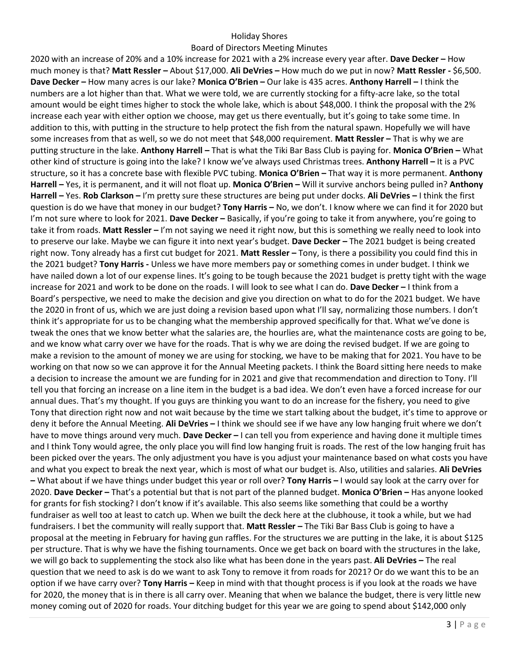#### Board of Directors Meeting Minutes

2020 with an increase of 20% and a 10% increase for 2021 with a 2% increase every year after. **Dave Decker –** How much money is that? **Matt Ressler –** About \$17,000. **Ali DeVries –** How much do we put in now? **Matt Ressler -** \$6,500. **Dave Decker –** How many acres is our lake? **Monica O'Brien –** Our lake is 435 acres. **Anthony Harrell –** I think the numbers are a lot higher than that. What we were told, we are currently stocking for a fifty-acre lake, so the total amount would be eight times higher to stock the whole lake, which is about \$48,000. I think the proposal with the 2% increase each year with either option we choose, may get us there eventually, but it's going to take some time. In addition to this, with putting in the structure to help protect the fish from the natural spawn. Hopefully we will have some increases from that as well, so we do not meet that \$48,000 requirement. **Matt Ressler –** That is why we are putting structure in the lake. **Anthony Harrell –** That is what the Tiki Bar Bass Club is paying for. **Monica O'Brien –** What other kind of structure is going into the lake? I know we've always used Christmas trees. **Anthony Harrell –** It is a PVC structure, so it has a concrete base with flexible PVC tubing. **Monica O'Brien –** That way it is more permanent. **Anthony Harrell –** Yes, it is permanent, and it will not float up. **Monica O'Brien –** Will it survive anchors being pulled in? **Anthony Harrell –** Yes. **Rob Clarkson –** I'm pretty sure these structures are being put under docks. **Ali DeVries –** I think the first question is do we have that money in our budget? **Tony Harris –** No, we don't. I know where we can find it for 2020 but I'm not sure where to look for 2021. **Dave Decker –** Basically, if you're going to take it from anywhere, you're going to take it from roads. **Matt Ressler –** I'm not saying we need it right now, but this is something we really need to look into to preserve our lake. Maybe we can figure it into next year's budget. **Dave Decker –** The 2021 budget is being created right now. Tony already has a first cut budget for 2021. **Matt Ressler –** Tony, is there a possibility you could find this in the 2021 budget? **Tony Harris -** Unless we have more members pay or something comes in under budget. I think we have nailed down a lot of our expense lines. It's going to be tough because the 2021 budget is pretty tight with the wage increase for 2021 and work to be done on the roads. I will look to see what I can do. **Dave Decker –** I think from a Board's perspective, we need to make the decision and give you direction on what to do for the 2021 budget. We have the 2020 in front of us, which we are just doing a revision based upon what I'll say, normalizing those numbers. I don't think it's appropriate for us to be changing what the membership approved specifically for that. What we've done is tweak the ones that we know better what the salaries are, the hourlies are, what the maintenance costs are going to be, and we know what carry over we have for the roads. That is why we are doing the revised budget. If we are going to make a revision to the amount of money we are using for stocking, we have to be making that for 2021. You have to be working on that now so we can approve it for the Annual Meeting packets. I think the Board sitting here needs to make a decision to increase the amount we are funding for in 2021 and give that recommendation and direction to Tony. I'll tell you that forcing an increase on a line item in the budget is a bad idea. We don't even have a forced increase for our annual dues. That's my thought. If you guys are thinking you want to do an increase for the fishery, you need to give Tony that direction right now and not wait because by the time we start talking about the budget, it's time to approve or deny it before the Annual Meeting. **Ali DeVries –** I think we should see if we have any low hanging fruit where we don't have to move things around very much. **Dave Decker –** I can tell you from experience and having done it multiple times and I think Tony would agree, the only place you will find low hanging fruit is roads. The rest of the low hanging fruit has been picked over the years. The only adjustment you have is you adjust your maintenance based on what costs you have and what you expect to break the next year, which is most of what our budget is. Also, utilities and salaries. **Ali DeVries –** What about if we have things under budget this year or roll over? **Tony Harris –** I would say look at the carry over for 2020. **Dave Decker –** That's a potential but that is not part of the planned budget. **Monica O'Brien –** Has anyone looked for grants for fish stocking? I don't know if it's available. This also seems like something that could be a worthy fundraiser as well too at least to catch up. When we built the deck here at the clubhouse, it took a while, but we had fundraisers. I bet the community will really support that. **Matt Ressler –** The Tiki Bar Bass Club is going to have a proposal at the meeting in February for having gun raffles. For the structures we are putting in the lake, it is about \$125 per structure. That is why we have the fishing tournaments. Once we get back on board with the structures in the lake, we will go back to supplementing the stock also like what has been done in the years past. **Ali DeVries –** The real question that we need to ask is do we want to ask Tony to remove it from roads for 2021? Or do we want this to be an option if we have carry over? **Tony Harris –** Keep in mind with that thought process is if you look at the roads we have for 2020, the money that is in there is all carry over. Meaning that when we balance the budget, there is very little new money coming out of 2020 for roads. Your ditching budget for this year we are going to spend about \$142,000 only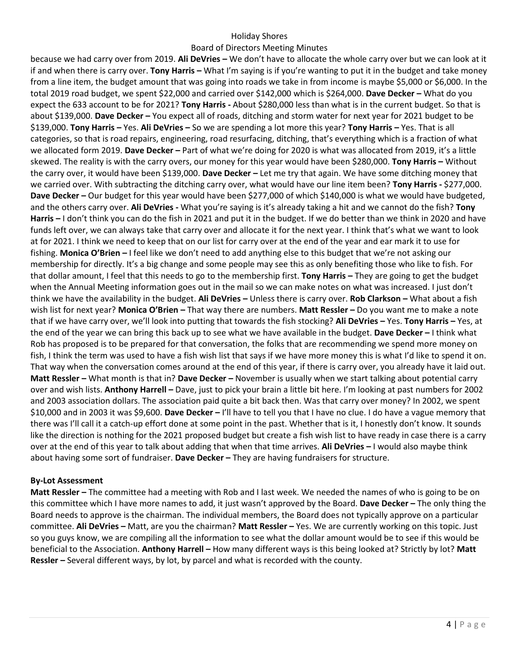### Board of Directors Meeting Minutes

because we had carry over from 2019. **Ali DeVries –** We don't have to allocate the whole carry over but we can look at it if and when there is carry over. **Tony Harris –** What I'm saying is if you're wanting to put it in the budget and take money from a line item, the budget amount that was going into roads we take in from income is maybe \$5,000 or \$6,000. In the total 2019 road budget, we spent \$22,000 and carried over \$142,000 which is \$264,000. **Dave Decker –** What do you expect the 633 account to be for 2021? **Tony Harris -** About \$280,000 less than what is in the current budget. So that is about \$139,000. **Dave Decker –** You expect all of roads, ditching and storm water for next year for 2021 budget to be \$139,000. **Tony Harris –** Yes. **Ali DeVries –** So we are spending a lot more this year? **Tony Harris –** Yes. That is all categories, so that is road repairs, engineering, road resurfacing, ditching, that's everything which is a fraction of what we allocated form 2019. **Dave Decker –** Part of what we're doing for 2020 is what was allocated from 2019, it's a little skewed. The reality is with the carry overs, our money for this year would have been \$280,000. **Tony Harris –** Without the carry over, it would have been \$139,000. **Dave Decker –** Let me try that again. We have some ditching money that we carried over. With subtracting the ditching carry over, what would have our line item been? **Tony Harris -** \$277,000. **Dave Decker –** Our budget for this year would have been \$277,000 of which \$140,000 is what we would have budgeted, and the others carry over. **Ali DeVries -** What you're saying is it's already taking a hit and we cannot do the fish? **Tony Harris –** I don't think you can do the fish in 2021 and put it in the budget. If we do better than we think in 2020 and have funds left over, we can always take that carry over and allocate it for the next year. I think that's what we want to look at for 2021. I think we need to keep that on our list for carry over at the end of the year and ear mark it to use for fishing. **Monica O'Brien –** I feel like we don't need to add anything else to this budget that we're not asking our membership for directly. It's a big change and some people may see this as only benefiting those who like to fish. For that dollar amount, I feel that this needs to go to the membership first. **Tony Harris –** They are going to get the budget when the Annual Meeting information goes out in the mail so we can make notes on what was increased. I just don't think we have the availability in the budget. **Ali DeVries –** Unless there is carry over. **Rob Clarkson –** What about a fish wish list for next year? **Monica O'Brien –** That way there are numbers. **Matt Ressler –** Do you want me to make a note that if we have carry over, we'll look into putting that towards the fish stocking? **Ali DeVries –** Yes. **Tony Harris –** Yes, at the end of the year we can bring this back up to see what we have available in the budget. **Dave Decker –** I think what Rob has proposed is to be prepared for that conversation, the folks that are recommending we spend more money on fish, I think the term was used to have a fish wish list that says if we have more money this is what I'd like to spend it on. That way when the conversation comes around at the end of this year, if there is carry over, you already have it laid out. **Matt Ressler –** What month is that in? **Dave Decker –** November is usually when we start talking about potential carry over and wish lists. **Anthony Harrell –** Dave, just to pick your brain a little bit here. I'm looking at past numbers for 2002 and 2003 association dollars. The association paid quite a bit back then. Was that carry over money? In 2002, we spent \$10,000 and in 2003 it was \$9,600. **Dave Decker –** I'll have to tell you that I have no clue. I do have a vague memory that there was I'll call it a catch-up effort done at some point in the past. Whether that is it, I honestly don't know. It sounds like the direction is nothing for the 2021 proposed budget but create a fish wish list to have ready in case there is a carry over at the end of this year to talk about adding that when that time arrives. **Ali DeVries –** I would also maybe think about having some sort of fundraiser. **Dave Decker –** They are having fundraisers for structure.

#### **By-Lot Assessment**

**Matt Ressler** – The committee had a meeting with Rob and I last week. We needed the names of who is going to be on this committee which I have more names to add, it just wasn't approved by the Board. **Dave Decker –** The only thing the Board needs to approve is the chairman. The individual members, the Board does not typically approve on a particular committee. **Ali DeVries –** Matt, are you the chairman? **Matt Ressler –** Yes. We are currently working on this topic. Just so you guys know, we are compiling all the information to see what the dollar amount would be to see if this would be beneficial to the Association. **Anthony Harrell –** How many different ways is this being looked at? Strictly by lot? **Matt Ressler –** Several different ways, by lot, by parcel and what is recorded with the county.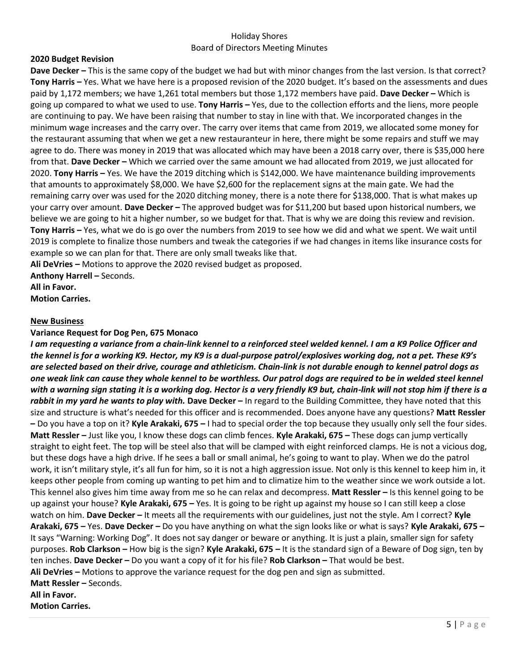#### **2020 Budget Revision**

**Dave Decker –** This is the same copy of the budget we had but with minor changes from the last version. Is that correct? **Tony Harris –** Yes. What we have here is a proposed revision of the 2020 budget. It's based on the assessments and dues paid by 1,172 members; we have 1,261 total members but those 1,172 members have paid. **Dave Decker –** Which is going up compared to what we used to use. **Tony Harris –** Yes, due to the collection efforts and the liens, more people are continuing to pay. We have been raising that number to stay in line with that. We incorporated changes in the minimum wage increases and the carry over. The carry over items that came from 2019, we allocated some money for the restaurant assuming that when we get a new restauranteur in here, there might be some repairs and stuff we may agree to do. There was money in 2019 that was allocated which may have been a 2018 carry over, there is \$35,000 here from that. **Dave Decker –** Which we carried over the same amount we had allocated from 2019, we just allocated for 2020. **Tony Harris –** Yes. We have the 2019 ditching which is \$142,000. We have maintenance building improvements that amounts to approximately \$8,000. We have \$2,600 for the replacement signs at the main gate. We had the remaining carry over was used for the 2020 ditching money, there is a note there for \$138,000. That is what makes up your carry over amount. **Dave Decker –** The approved budget was for \$11,200 but based upon historical numbers, we believe we are going to hit a higher number, so we budget for that. That is why we are doing this review and revision. **Tony Harris –** Yes, what we do is go over the numbers from 2019 to see how we did and what we spent. We wait until 2019 is complete to finalize those numbers and tweak the categories if we had changes in items like insurance costs for example so we can plan for that. There are only small tweaks like that.

**Ali DeVries –** Motions to approve the 2020 revised budget as proposed.

**Anthony Harrell –** Seconds. **All in Favor.**

**Motion Carries.**

#### **New Business**

#### **Variance Request for Dog Pen, 675 Monaco**

*I am requesting a variance from a chain-link kennel to a reinforced steel welded kennel. I am a K9 Police Officer and the kennel is for a working K9. Hector, my K9 is a dual-purpose patrol/explosives working dog, not a pet. These K9's are selected based on their drive, courage and athleticism. Chain-link is not durable enough to kennel patrol dogs as one weak link can cause they whole kennel to be worthless. Our patrol dogs are required to be in welded steel kennel with a warning sign stating it is a working dog. Hector is a very friendly K9 but, chain-link will not stop him if there is a rabbit in my yard he wants to play with.* Dave Decker – In regard to the Building Committee, they have noted that this size and structure is what's needed for this officer and is recommended. Does anyone have any questions? **Matt Ressler –** Do you have a top on it? **Kyle Arakaki, 675 –** I had to special order the top because they usually only sell the four sides. **Matt Ressler** – Just like you, I know these dogs can climb fences. **Kyle Arakaki, 675** – These dogs can jump vertically straight to eight feet. The top will be steel also that will be clamped with eight reinforced clamps. He is not a vicious dog, but these dogs have a high drive. If he sees a ball or small animal, he's going to want to play. When we do the patrol work, it isn't military style, it's all fun for him, so it is not a high aggression issue. Not only is this kennel to keep him in, it keeps other people from coming up wanting to pet him and to climatize him to the weather since we work outside a lot. This kennel also gives him time away from me so he can relax and decompress. **Matt Ressler –** Is this kennel going to be up against your house? **Kyle Arakaki, 675 –** Yes. It is going to be right up against my house so I can still keep a close watch on him. **Dave Decker –** It meets all the requirements with our guidelines, just not the style. Am I correct? **Kyle Arakaki, 675 –** Yes. **Dave Decker –** Do you have anything on what the sign looks like or what is says? **Kyle Arakaki, 675 –** It says "Warning: Working Dog". It does not say danger or beware or anything. It is just a plain, smaller sign for safety purposes. **Rob Clarkson –** How big is the sign? **Kyle Arakaki, 675 –** It is the standard sign of a Beware of Dog sign, ten by ten inches. **Dave Decker –** Do you want a copy of it for his file? **Rob Clarkson –** That would be best. **Ali DeVries –** Motions to approve the variance request for the dog pen and sign as submitted. **Matt Ressler – Seconds. All in Favor. Motion Carries.**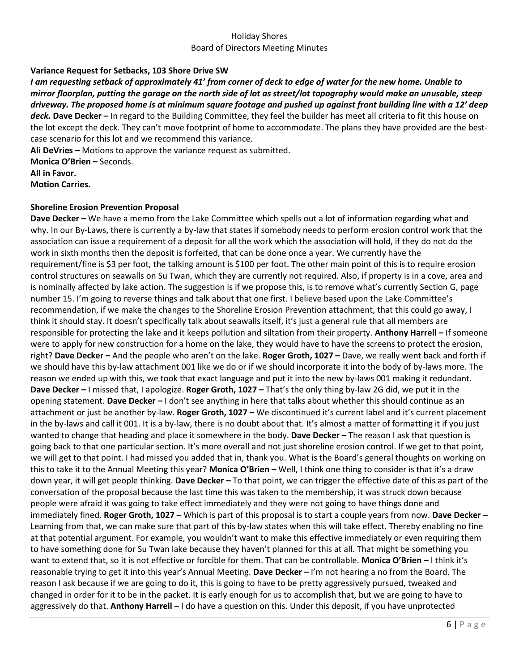## **Variance Request for Setbacks, 103 Shore Drive SW**

*I am requesting setback of approximately 41' from corner of deck to edge of water for the new home. Unable to mirror floorplan, putting the garage on the north side of lot as street/lot topography would make an unusable, steep driveway. The proposed home is at minimum square footage and pushed up against front building line with a 12' deep deck.* **Dave Decker –** In regard to the Building Committee, they feel the builder has meet all criteria to fit this house on the lot except the deck. They can't move footprint of home to accommodate. The plans they have provided are the bestcase scenario for this lot and we recommend this variance. **Ali DeVries –** Motions to approve the variance request as submitted.

**Monica O'Brien –** Seconds.

**All in Favor.**

**Motion Carries.**

## **Shoreline Erosion Prevention Proposal**

**Dave Decker –** We have a memo from the Lake Committee which spells out a lot of information regarding what and why. In our By-Laws, there is currently a by-law that states if somebody needs to perform erosion control work that the association can issue a requirement of a deposit for all the work which the association will hold, if they do not do the work in sixth months then the deposit is forfeited, that can be done once a year. We currently have the requirement/fine is \$3 per foot, the talking amount is \$100 per foot. The other main point of this is to require erosion control structures on seawalls on Su Twan, which they are currently not required. Also, if property is in a cove, area and is nominally affected by lake action. The suggestion is if we propose this, is to remove what's currently Section G, page number 15. I'm going to reverse things and talk about that one first. I believe based upon the Lake Committee's recommendation, if we make the changes to the Shoreline Erosion Prevention attachment, that this could go away, I think it should stay. It doesn't specifically talk about seawalls itself, it's just a general rule that all members are responsible for protecting the lake and it keeps pollution and siltation from their property. **Anthony Harrell –** If someone were to apply for new construction for a home on the lake, they would have to have the screens to protect the erosion, right? **Dave Decker –** And the people who aren't on the lake. **Roger Groth, 1027 –** Dave, we really went back and forth if we should have this by-law attachment 001 like we do or if we should incorporate it into the body of by-laws more. The reason we ended up with this, we took that exact language and put it into the new by-laws 001 making it redundant. **Dave Decker –** I missed that, I apologize. **Roger Groth, 1027 –** That's the only thing by-law 2G did, we put it in the opening statement. **Dave Decker –** I don't see anything in here that talks about whether this should continue as an attachment or just be another by-law. **Roger Groth, 1027 –** We discontinued it's current label and it's current placement in the by-laws and call it 001. It is a by-law, there is no doubt about that. It's almost a matter of formatting it if you just wanted to change that heading and place it somewhere in the body. **Dave Decker –** The reason I ask that question is going back to that one particular section. It's more overall and not just shoreline erosion control. If we get to that point, we will get to that point. I had missed you added that in, thank you. What is the Board's general thoughts on working on this to take it to the Annual Meeting this year? **Monica O'Brien –** Well, I think one thing to consider is that it's a draw down year, it will get people thinking. **Dave Decker –** To that point, we can trigger the effective date of this as part of the conversation of the proposal because the last time this was taken to the membership, it was struck down because people were afraid it was going to take effect immediately and they were not going to have things done and immediately fined. **Roger Groth, 1027 –** Which is part of this proposal is to start a couple years from now. **Dave Decker –** Learning from that, we can make sure that part of this by-law states when this will take effect. Thereby enabling no fine at that potential argument. For example, you wouldn't want to make this effective immediately or even requiring them to have something done for Su Twan lake because they haven't planned for this at all. That might be something you want to extend that, so it is not effective or forcible for them. That can be controllable. **Monica O'Brien –** I think it's reasonable trying to get it into this year's Annual Meeting. **Dave Decker –** I'm not hearing a no from the Board. The reason I ask because if we are going to do it, this is going to have to be pretty aggressively pursued, tweaked and changed in order for it to be in the packet. It is early enough for us to accomplish that, but we are going to have to aggressively do that. **Anthony Harrell –** I do have a question on this. Under this deposit, if you have unprotected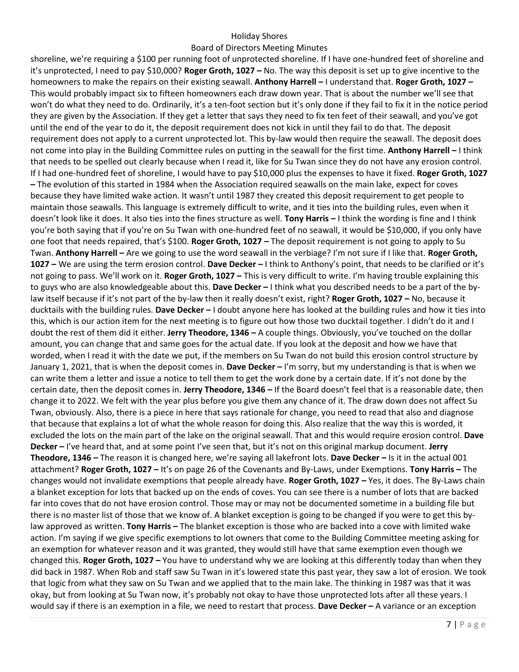#### Board of Directors Meeting Minutes

shoreline, we're requiring a \$100 per running foot of unprotected shoreline. If I have one-hundred feet of shoreline and it's unprotected, I need to pay \$10,000? **Roger Groth, 1027 –** No. The way this deposit is set up to give incentive to the homeowners to make the repairs on their existing seawall. **Anthony Harrell –** I understand that. **Roger Groth, 1027 –** This would probably impact six to fifteen homeowners each draw down year. That is about the number we'll see that won't do what they need to do. Ordinarily, it's a ten-foot section but it's only done if they fail to fix it in the notice period they are given by the Association. If they get a letter that says they need to fix ten feet of their seawall, and you've got until the end of the year to do it, the deposit requirement does not kick in until they fail to do that. The deposit requirement does not apply to a current unprotected lot. This by-law would then require the seawall. The deposit does not come into play in the Building Committee rules on putting in the seawall for the first time. **Anthony Harrell –** I think that needs to be spelled out clearly because when I read it, like for Su Twan since they do not have any erosion control. If I had one-hundred feet of shoreline, I would have to pay \$10,000 plus the expenses to have it fixed. **Roger Groth, 1027 –** The evolution of this started in 1984 when the Association required seawalls on the main lake, expect for coves because they have limited wake action. It wasn't until 1987 they created this deposit requirement to get people to maintain those seawalls. This language is extremely difficult to write, and it ties into the building rules, even when it doesn't look like it does. It also ties into the fines structure as well. **Tony Harris –** I think the wording is fine and I think you're both saying that if you're on Su Twan with one-hundred feet of no seawall, it would be \$10,000, if you only have one foot that needs repaired, that's \$100. **Roger Groth, 1027 –** The deposit requirement is not going to apply to Su Twan. **Anthony Harrell –** Are we going to use the word seawall in the verbiage? I'm not sure if I like that. **Roger Groth, 1027 –** We are using the term erosion control. **Dave Decker –** I think to Anthony's point, that needs to be clarified or it's not going to pass. We'll work on it. **Roger Groth, 1027 –** This is very difficult to write. I'm having trouble explaining this to guys who are also knowledgeable about this. **Dave Decker –** I think what you described needs to be a part of the bylaw itself because if it's not part of the by-law then it really doesn't exist, right? **Roger Groth, 1027 –** No, because it ducktails with the building rules. **Dave Decker –** I doubt anyone here has looked at the building rules and how it ties into this, which is our action item for the next meeting is to figure out how those two ducktail together. I didn't do it and I doubt the rest of them did it either. **Jerry Theodore, 1346 –** A couple things. Obviously, you've touched on the dollar amount, you can change that and same goes for the actual date. If you look at the deposit and how we have that worded, when I read it with the date we put, if the members on Su Twan do not build this erosion control structure by January 1, 2021, that is when the deposit comes in. **Dave Decker –** I'm sorry, but my understanding is that is when we can write them a letter and issue a notice to tell them to get the work done by a certain date. If it's not done by the certain date, then the deposit comes in. **Jerry Theodore, 1346 –** If the Board doesn't feel that is a reasonable date, then change it to 2022. We felt with the year plus before you give them any chance of it. The draw down does not affect Su Twan, obviously. Also, there is a piece in here that says rationale for change, you need to read that also and diagnose that because that explains a lot of what the whole reason for doing this. Also realize that the way this is worded, it excluded the lots on the main part of the lake on the original seawall. That and this would require erosion control. **Dave Decker –** I've heard that, and at some point I've seen that, but it's not on this original markup document. **Jerry Theodore, 1346 –** The reason it is changed here, we're saying all lakefront lots. **Dave Decker –** Is it in the actual 001 attachment? **Roger Groth, 1027 –** It's on page 26 of the Covenants and By-Laws, under Exemptions. **Tony Harris –** The changes would not invalidate exemptions that people already have. **Roger Groth, 1027 –** Yes, it does. The By-Laws chain a blanket exception for lots that backed up on the ends of coves. You can see there is a number of lots that are backed far into coves that do not have erosion control. Those may or may not be documented sometime in a building file but there is no master list of those that we know of. A blanket exception is going to be changed if you were to get this bylaw approved as written. **Tony Harris –** The blanket exception is those who are backed into a cove with limited wake action. I'm saying if we give specific exemptions to lot owners that come to the Building Committee meeting asking for an exemption for whatever reason and it was granted, they would still have that same exemption even though we changed this. **Roger Groth, 1027 –** You have to understand why we are looking at this differently today than when they did back in 1987. When Rob and staff saw Su Twan in it's lowered state this past year, they saw a lot of erosion. We took that logic from what they saw on Su Twan and we applied that to the main lake. The thinking in 1987 was that it was okay, but from looking at Su Twan now, it's probably not okay to have those unprotected lots after all these years. I would say if there is an exemption in a file, we need to restart that process. **Dave Decker –** A variance or an exception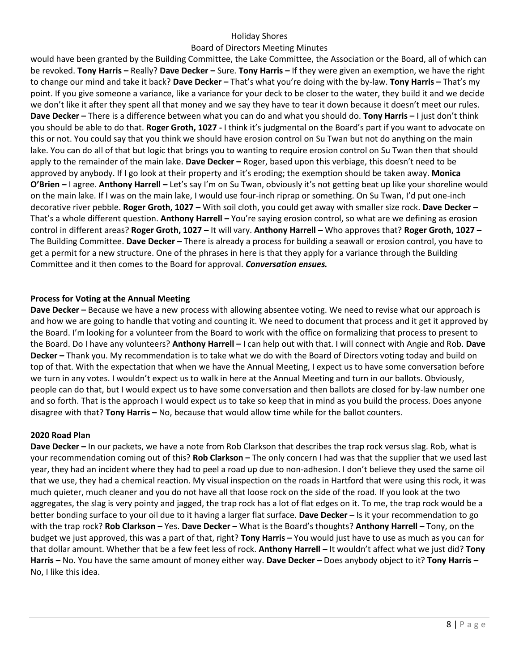## Board of Directors Meeting Minutes

would have been granted by the Building Committee, the Lake Committee, the Association or the Board, all of which can be revoked. **Tony Harris –** Really? **Dave Decker –** Sure. **Tony Harris –** If they were given an exemption, we have the right to change our mind and take it back? **Dave Decker –** That's what you're doing with the by-law. **Tony Harris –** That's my point. If you give someone a variance, like a variance for your deck to be closer to the water, they build it and we decide we don't like it after they spent all that money and we say they have to tear it down because it doesn't meet our rules. **Dave Decker –** There is a difference between what you can do and what you should do. **Tony Harris –** I just don't think you should be able to do that. **Roger Groth, 1027 -** I think it's judgmental on the Board's part if you want to advocate on this or not. You could say that you think we should have erosion control on Su Twan but not do anything on the main lake. You can do all of that but logic that brings you to wanting to require erosion control on Su Twan then that should apply to the remainder of the main lake. **Dave Decker –** Roger, based upon this verbiage, this doesn't need to be approved by anybody. If I go look at their property and it's eroding; the exemption should be taken away. **Monica O'Brien –** I agree. **Anthony Harrell –** Let's say I'm on Su Twan, obviously it's not getting beat up like your shoreline would on the main lake. If I was on the main lake, I would use four-inch riprap or something. On Su Twan, I'd put one-inch decorative river pebble. **Roger Groth, 1027 –** With soil cloth, you could get away with smaller size rock. **Dave Decker –** That's a whole different question. **Anthony Harrell –** You're saying erosion control, so what are we defining as erosion control in different areas? **Roger Groth, 1027 –** It will vary. **Anthony Harrell –** Who approves that? **Roger Groth, 1027 –** The Building Committee. **Dave Decker –** There is already a process for building a seawall or erosion control, you have to get a permit for a new structure. One of the phrases in here is that they apply for a variance through the Building Committee and it then comes to the Board for approval. *Conversation ensues.*

#### **Process for Voting at the Annual Meeting**

**Dave Decker –** Because we have a new process with allowing absentee voting. We need to revise what our approach is and how we are going to handle that voting and counting it. We need to document that process and it get it approved by the Board. I'm looking for a volunteer from the Board to work with the office on formalizing that process to present to the Board. Do I have any volunteers? **Anthony Harrell –** I can help out with that. I will connect with Angie and Rob. **Dave Decker –** Thank you. My recommendation is to take what we do with the Board of Directors voting today and build on top of that. With the expectation that when we have the Annual Meeting, I expect us to have some conversation before we turn in any votes. I wouldn't expect us to walk in here at the Annual Meeting and turn in our ballots. Obviously, people can do that, but I would expect us to have some conversation and then ballots are closed for by-law number one and so forth. That is the approach I would expect us to take so keep that in mind as you build the process. Does anyone disagree with that? **Tony Harris –** No, because that would allow time while for the ballot counters.

#### **2020 Road Plan**

**Dave Decker –** In our packets, we have a note from Rob Clarkson that describes the trap rock versus slag. Rob, what is your recommendation coming out of this? **Rob Clarkson –** The only concern I had was that the supplier that we used last year, they had an incident where they had to peel a road up due to non-adhesion. I don't believe they used the same oil that we use, they had a chemical reaction. My visual inspection on the roads in Hartford that were using this rock, it was much quieter, much cleaner and you do not have all that loose rock on the side of the road. If you look at the two aggregates, the slag is very pointy and jagged, the trap rock has a lot of flat edges on it. To me, the trap rock would be a better bonding surface to your oil due to it having a larger flat surface. **Dave Decker –** Is it your recommendation to go with the trap rock? **Rob Clarkson –** Yes. **Dave Decker –** What is the Board's thoughts? **Anthony Harrell –** Tony, on the budget we just approved, this was a part of that, right? **Tony Harris –** You would just have to use as much as you can for that dollar amount. Whether that be a few feet less of rock. **Anthony Harrell –** It wouldn't affect what we just did? **Tony Harris –** No. You have the same amount of money either way. **Dave Decker –** Does anybody object to it? **Tony Harris –** No, I like this idea.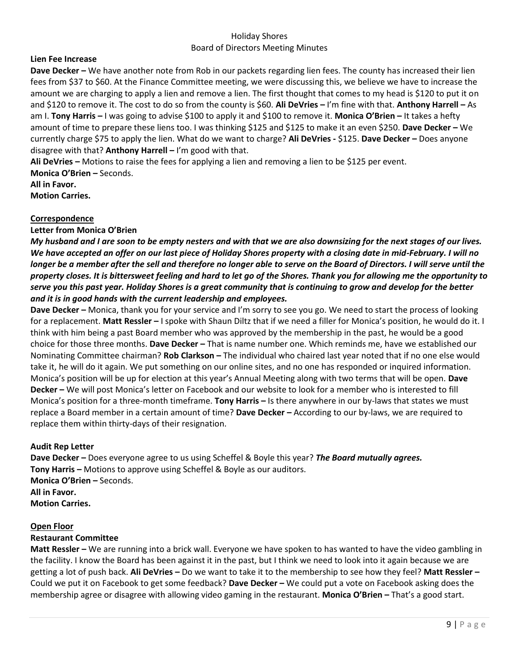## **Lien Fee Increase**

**Dave Decker –** We have another note from Rob in our packets regarding lien fees. The county has increased their lien fees from \$37 to \$60. At the Finance Committee meeting, we were discussing this, we believe we have to increase the amount we are charging to apply a lien and remove a lien. The first thought that comes to my head is \$120 to put it on and \$120 to remove it. The cost to do so from the county is \$60. **Ali DeVries –** I'm fine with that. **Anthony Harrell –** As am I. **Tony Harris –** I was going to advise \$100 to apply it and \$100 to remove it. **Monica O'Brien –** It takes a hefty amount of time to prepare these liens too. I was thinking \$125 and \$125 to make it an even \$250. **Dave Decker –** We currently charge \$75 to apply the lien. What do we want to charge? **Ali DeVries -** \$125. **Dave Decker –** Does anyone disagree with that? **Anthony Harrell –** I'm good with that.

**Ali DeVries –** Motions to raise the fees for applying a lien and removing a lien to be \$125 per event. **Monica O'Brien –** Seconds.

**All in Favor. Motion Carries.**

#### **Correspondence**

#### **Letter from Monica O'Brien**

*My husband and I are soon to be empty nesters and with that we are also downsizing for the next stages of our lives. We have accepted an offer on our last piece of Holiday Shores property with a closing date in mid-February. I will no longer be a member after the sell and therefore no longer able to serve on the Board of Directors. I will serve until the property closes. It is bittersweet feeling and hard to let go of the Shores. Thank you for allowing me the opportunity to serve you this past year. Holiday Shores is a great community that is continuing to grow and develop for the better and it is in good hands with the current leadership and employees.* 

**Dave Decker –** Monica, thank you for your service and I'm sorry to see you go. We need to start the process of looking for a replacement. **Matt Ressler –** I spoke with Shaun Diltz that if we need a filler for Monica's position, he would do it. I think with him being a past Board member who was approved by the membership in the past, he would be a good choice for those three months. **Dave Decker –** That is name number one. Which reminds me, have we established our Nominating Committee chairman? **Rob Clarkson –** The individual who chaired last year noted that if no one else would take it, he will do it again. We put something on our online sites, and no one has responded or inquired information. Monica's position will be up for election at this year's Annual Meeting along with two terms that will be open. **Dave Decker –** We will post Monica's letter on Facebook and our website to look for a member who is interested to fill Monica's position for a three-month timeframe. **Tony Harris –** Is there anywhere in our by-laws that states we must replace a Board member in a certain amount of time? **Dave Decker –** According to our by-laws, we are required to replace them within thirty-days of their resignation.

#### **Audit Rep Letter**

**Dave Decker –** Does everyone agree to us using Scheffel & Boyle this year? *The Board mutually agrees.*  **Tony Harris –** Motions to approve using Scheffel & Boyle as our auditors. **Monica O'Brien –** Seconds. **All in Favor. Motion Carries.** 

#### **Open Floor**

#### **Restaurant Committee**

**Matt Ressler** – We are running into a brick wall. Everyone we have spoken to has wanted to have the video gambling in the facility. I know the Board has been against it in the past, but I think we need to look into it again because we are getting a lot of push back. **Ali DeVries –** Do we want to take it to the membership to see how they feel? **Matt Ressler –** Could we put it on Facebook to get some feedback? **Dave Decker –** We could put a vote on Facebook asking does the membership agree or disagree with allowing video gaming in the restaurant. **Monica O'Brien –** That's a good start.